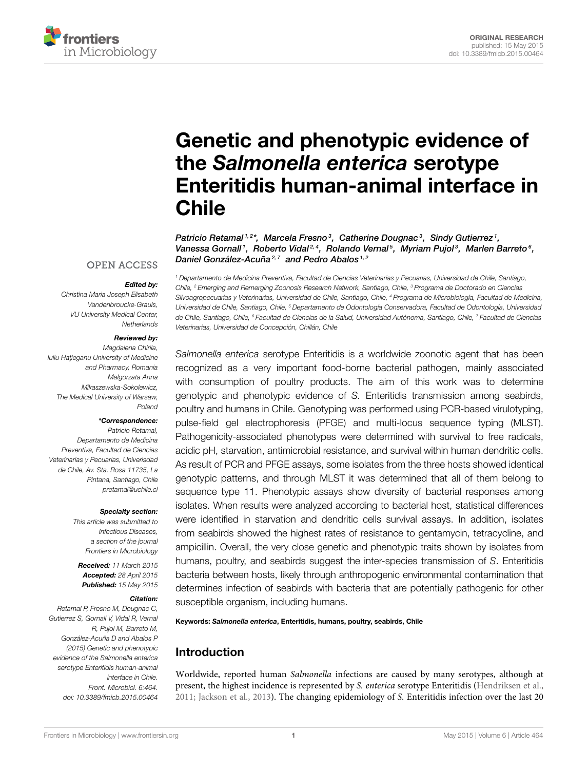

# Genetic and phenotypic evidence of the Salmonella enterica serotype [Enteritidis human-animal interface in](http://journal.frontiersin.org/article/10.3389/fmicb.2015.00464/abstract) Chile

[Patricio Retamal](http://community.frontiersin.org/people/u/133161)<sup>1,2\*</sup>, [Marcela Fresno](http://community.frontiersin.org/people/u/233144)<sup>3</sup>, [Catherine Dougnac](http://community.frontiersin.org/people/u/222996)<sup>3</sup>, [Sindy Gutierrez](http://community.frontiersin.org/people/u/236811)<sup>1</sup>, [Vanessa Gornall](http://community.frontiersin.org/people/u/233895)1,  [Roberto Vidal](http://community.frontiersin.org/people/u/45248)24,  [Rolando Vernal](http://community.frontiersin.org/people/u/234833)5, Myriam Pujol3,  [Marlen Barreto](http://community.frontiersin.org/people/u/236274)6, [Daniel González-Acuña](http://community.frontiersin.org/people/u/236742)<sup>2,7</sup> and Pedro Abalos<sup>1,2</sup>

#### **OPEN ACCESS**

#### Edited by:

Christina Maria Joseph Elisabeth Vandenbroucke-Grauls, VU University Medical Center, **Netherlands** 

#### Reviewed by:

Magdalena Chirila, Iuliu Hațieganu University of Medicine and Pharmacy, Romania Malgorzata Anna Mikaszewska-Sokolewicz, The Medical University of Warsaw, Poland

#### \*Correspondence:

Patricio Retamal, Departamento de Medicina Preventiva, Facultad de Ciencias Veterinarias y Pecuarias, Univerisdad de Chile, Av. Sta. Rosa 11735, La Pintana, Santiago, Chile [pretamal@uchile.cl](mailto:pretamal@uchile.cl)

#### Specialty section:

This article was submitted to Infectious Diseases, a section of the journal Frontiers in Microbiology

Received: 11 March 2015 Accepted: 28 April 2015 Published: 15 May 2015

#### Citation:

Retamal P, Fresno M, Dougnac C, Gutierrez S, Gornall V, Vidal R, Vernal R, Pujol M, Barreto M, González-Acuña D and Abalos P (2015) Genetic and phenotypic evidence of the Salmonella enterica serotype Enteritidis human-animal interface in Chile. Front. Microbiol. 6:464. doi: [10.3389/fmicb.2015.00464](http://dx.doi.org/10.3389/fmicb.2015.00464)

<sup>1</sup> Departamento de Medicina Preventiva, Facultad de Ciencias Veterinarias y Pecuarias, Universidad de Chile, Santiago, Chile, <sup>2</sup> Emerging and Remerging Zoonosis Research Network, Santiago, Chile, <sup>3</sup> Programa de Doctorado en Ciencias Silvoagropecuarias y Veterinarias, Universidad de Chile, Santiago, Chile, <sup>4</sup> Programa de Microbiología, Facultad de Medicina, Universidad de Chile, Santiago, Chile, <sup>5</sup> Departamento de Odontología Conservadora, Facultad de Odontología, Universidad de Chile, Santiago, Chile, <sup>6</sup> Facultad de Ciencias de la Salud, Universidad Autónoma, Santiago, Chile, <sup>7</sup> Facultad de Ciencias Veterinarias, Universidad de Concepción, Chillán, Chile

Salmonella enterica serotype Enteritidis is a worldwide zoonotic agent that has been recognized as a very important food-borne bacterial pathogen, mainly associated with consumption of poultry products. The aim of this work was to determine genotypic and phenotypic evidence of S. Enteritidis transmission among seabirds, poultry and humans in Chile. Genotyping was performed using PCR-based virulotyping, pulse-field gel electrophoresis (PFGE) and multi-locus sequence typing (MLST). Pathogenicity-associated phenotypes were determined with survival to free radicals, acidic pH, starvation, antimicrobial resistance, and survival within human dendritic cells. As result of PCR and PFGE assays, some isolates from the three hosts showed identical genotypic patterns, and through MLST it was determined that all of them belong to sequence type 11. Phenotypic assays show diversity of bacterial responses among isolates. When results were analyzed according to bacterial host, statistical differences were identified in starvation and dendritic cells survival assays. In addition, isolates from seabirds showed the highest rates of resistance to gentamycin, tetracycline, and ampicillin. Overall, the very close genetic and phenotypic traits shown by isolates from humans, poultry, and seabirds suggest the inter-species transmission of S. Enteritidis bacteria between hosts, likely through anthropogenic environmental contamination that determines infection of seabirds with bacteria that are potentially pathogenic for other susceptible organism, including humans.

Keywords: Salmonella enterica, Enteritidis, humans, poultry, seabirds, Chile

# Introduction

Worldwide, reported human Salmonella infections are caused by many serotypes, although at present, the highest incidence is represented by S. enterica serotype Enteritidis [\(Hendriksen et al.,](#page-8-0) [2011;](#page-8-0) [Jackson et al., 2013\)](#page-9-0). The changing epidemiology of S. Enteritidis infection over the last 20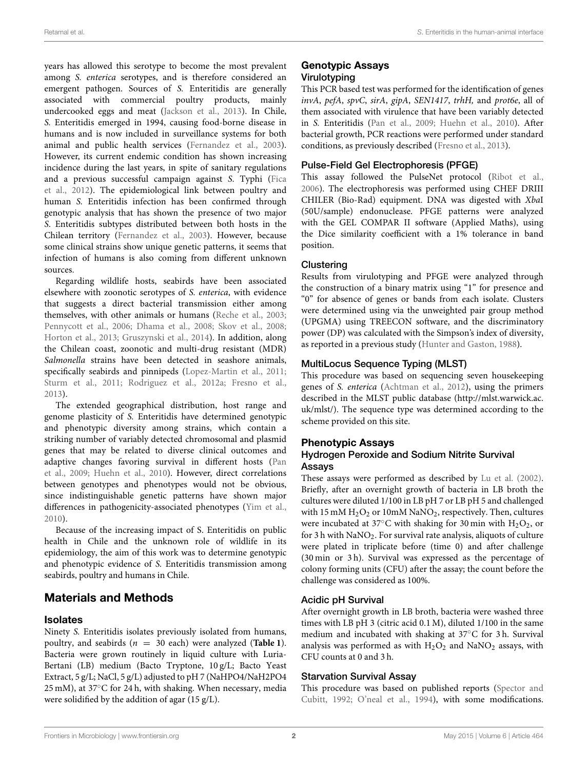years has allowed this serotype to become the most prevalent among S. enterica serotypes, and is therefore considered an emergent pathogen. Sources of S. Enteritidis are generally associated with commercial poultry products, mainly undercooked eggs and meat [\(Jackson et al., 2013\)](#page-9-0). In Chile, S. Enteritidis emerged in 1994, causing food-borne disease in humans and is now included in surveillance systems for both animal and public health services [\(Fernandez et al., 2003\)](#page-8-1). However, its current endemic condition has shown increasing incidence during the last years, in spite of sanitary regulations and a previous successful campaign against S. Typhi (Fica et al., [2012\)](#page-8-2). The epidemiological link between poultry and human S. Enteritidis infection has been confirmed through genotypic analysis that has shown the presence of two major S. Enteritidis subtypes distributed between both hosts in the Chilean territory [\(Fernandez et al., 2003\)](#page-8-1). However, because some clinical strains show unique genetic patterns, it seems that infection of humans is also coming from different unknown sources.

Regarding wildlife hosts, seabirds have been associated elsewhere with zoonotic serotypes of S. enterica, with evidence that suggests a direct bacterial transmission either among themselves, with other animals or humans [\(Reche et al., 2003;](#page-9-1) [Pennycott et al., 2006;](#page-9-2) [Dhama et al., 2008;](#page-8-3) [Skov et al., 2008;](#page-9-3) [Horton et al., 2013;](#page-8-4) [Gruszynski et al., 2014\)](#page-8-5). In addition, along the Chilean coast, zoonotic and multi-drug resistant (MDR) Salmonella strains have been detected in seashore animals, specifically seabirds and pinnipeds [\(Lopez-Martin et al., 2011;](#page-9-4) [Sturm et al., 2011;](#page-9-5) [Rodriguez et al., 2012a;](#page-9-6) [Fresno et al.,](#page-8-6) [2013\)](#page-8-6).

The extended geographical distribution, host range and genome plasticity of S. Enteritidis have determined genotypic and phenotypic diversity among strains, which contain a striking number of variably detected chromosomal and plasmid genes that may be related to diverse clinical outcomes and adaptive changes favoring survival in different hosts (Pan et al., [2009;](#page-9-7) [Huehn et al., 2010\)](#page-9-8). However, direct correlations between genotypes and phenotypes would not be obvious, since indistinguishable genetic patterns have shown major differences in pathogenicity-associated phenotypes [\(Yim et al.,](#page-9-9) [2010\)](#page-9-9).

Because of the increasing impact of S. Enteritidis on public health in Chile and the unknown role of wildlife in its epidemiology, the aim of this work was to determine genotypic and phenotypic evidence of S. Enteritidis transmission among seabirds, poultry and humans in Chile.

# Materials and Methods

#### Isolates

Ninety S. Enteritidis isolates previously isolated from humans, poultry, and seabirds  $(n = 30 \text{ each})$  were analyzed (**[Table 1](#page-2-0)**). Bacteria were grown routinely in liquid culture with Luria-Bertani (LB) medium (Bacto Tryptone, 10 g/L; Bacto Yeast Extract, 5 g/L; NaCl, 5 g/L) adjusted to pH 7 (NaHPO4/NaH2PO4 25 mM), at 37◦C for 24 h, with shaking. When necessary, media were solidified by the addition of agar (15 g/L).

## Genotypic Assays Virulotyping

This PCR based test was performed for the identification of genes invA, pefA, spvC, sirA, gipA, SEN1417, trhH, and prot6e, all of them associated with virulence that have been variably detected in S. Enteritidis [\(Pan et al., 2009;](#page-9-7) [Huehn et al., 2010\)](#page-9-8). After bacterial growth, PCR reactions were performed under standard conditions, as previously described [\(Fresno et al., 2013\)](#page-8-6).

## Pulse-Field Gel Electrophoresis (PFGE)

This assay followed the PulseNet protocol [\(Ribot et al.,](#page-9-10) [2006\)](#page-9-10). The electrophoresis was performed using CHEF DRIII CHILER (Bio-Rad) equipment. DNA was digested with XbaI (50U/sample) endonuclease. PFGE patterns were analyzed with the GEL COMPAR II software (Applied Maths), using the Dice similarity coefficient with a 1% tolerance in band position.

#### **Clustering**

Results from virulotyping and PFGE were analyzed through the construction of a binary matrix using "1" for presence and "0" for absence of genes or bands from each isolate. Clusters were determined using via the unweighted pair group method (UPGMA) using TREECON software, and the discriminatory power (DP) was calculated with the Simpson's index of diversity, as reported in a previous study [\(Hunter and Gaston, 1988\)](#page-9-11).

#### MultiLocus Sequence Typing (MLST)

This procedure was based on sequencing seven housekeeping genes of S. enterica [\(Achtman et al., 2012\)](#page-8-7), using the primers described in the MLST public database [\(http://mlst.warwick.ac.](http://mlst.warwick.ac.uk/mlst/) [uk/mlst/\)](http://mlst.warwick.ac.uk/mlst/). The sequence type was determined according to the scheme provided on this site.

#### Phenotypic Assays

#### Hydrogen Peroxide and Sodium Nitrite Survival Assays

These assays were performed as described by [Lu et al. \(2002\)](#page-9-12). Briefly, after an overnight growth of bacteria in LB broth the cultures were diluted 1/100 in LB pH 7 or LB pH 5 and challenged with 15 mM  $H_2O_2$  or 10mM NaNO<sub>2</sub>, respectively. Then, cultures were incubated at 37 $\mathrm{^{\circ}C}$  with shaking for 30 min with H<sub>2</sub>O<sub>2</sub>, or for  $3 h$  with  $NaNO<sub>2</sub>$ . For survival rate analysis, aliquots of culture were plated in triplicate before (time 0) and after challenge (30 min or 3 h). Survival was expressed as the percentage of colony forming units (CFU) after the assay; the count before the challenge was considered as 100%.

#### Acidic pH Survival

After overnight growth in LB broth, bacteria were washed three times with LB pH 3 (citric acid 0.1 M), diluted 1/100 in the same medium and incubated with shaking at 37◦C for 3 h. Survival analysis was performed as with  $H_2O_2$  and NaNO<sub>2</sub> assays, with CFU counts at 0 and 3 h.

#### Starvation Survival Assay

This procedure was based on published reports (Spector and Cubitt, [1992;](#page-9-13) [O'neal et al., 1994\)](#page-9-14), with some modifications.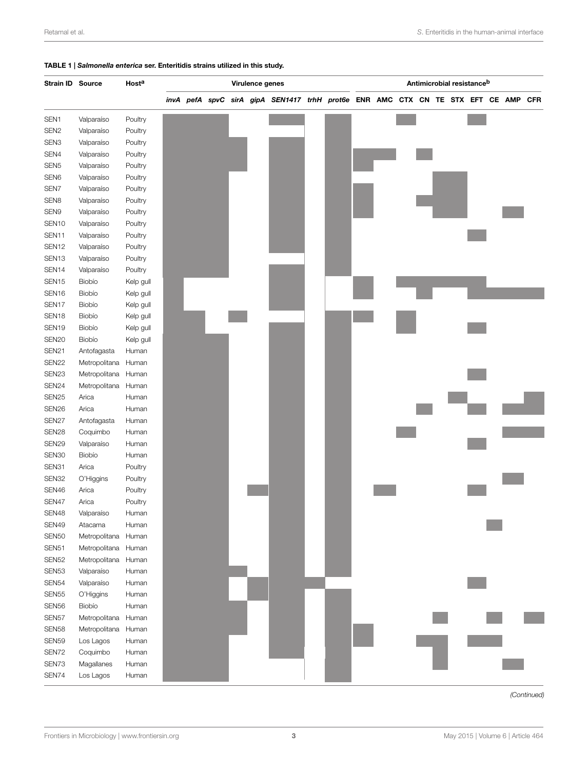#### <span id="page-2-0"></span>TABLE 1 | Salmonella enterica ser. Enteritidis strains utilized in this study.

| Strain ID Source         |                          | Hosta     | Virulence genes |  | Antimicrobial resistance <sup>b</sup> |                                                                               |  |  |  |  |  |  |  |  |  |            |
|--------------------------|--------------------------|-----------|-----------------|--|---------------------------------------|-------------------------------------------------------------------------------|--|--|--|--|--|--|--|--|--|------------|
|                          |                          |           |                 |  |                                       | invA pefA spvC sirA gipA SEN1417 trhH prot6e ENR AMC CTX CN TE STX EFT CE AMP |  |  |  |  |  |  |  |  |  | <b>CFR</b> |
| SEN1                     | Valparaíso               | Poultry   |                 |  |                                       |                                                                               |  |  |  |  |  |  |  |  |  |            |
| SEN <sub>2</sub>         |                          |           |                 |  |                                       |                                                                               |  |  |  |  |  |  |  |  |  |            |
|                          | Valparaíso               | Poultry   |                 |  |                                       |                                                                               |  |  |  |  |  |  |  |  |  |            |
| SEN <sub>3</sub>         | Valparaíso               | Poultry   |                 |  |                                       |                                                                               |  |  |  |  |  |  |  |  |  |            |
| SEN4                     | Valparaíso               | Poultry   |                 |  |                                       |                                                                               |  |  |  |  |  |  |  |  |  |            |
| SEN <sub>5</sub>         | Valparaíso               | Poultry   |                 |  |                                       |                                                                               |  |  |  |  |  |  |  |  |  |            |
| SEN <sub>6</sub>         | Valparaíso               | Poultry   |                 |  |                                       |                                                                               |  |  |  |  |  |  |  |  |  |            |
| SEN7                     | Valparaíso               | Poultry   |                 |  |                                       |                                                                               |  |  |  |  |  |  |  |  |  |            |
| SEN <sub>8</sub><br>SEN9 | Valparaíso<br>Valparaíso | Poultry   |                 |  |                                       |                                                                               |  |  |  |  |  |  |  |  |  |            |
|                          |                          | Poultry   |                 |  |                                       |                                                                               |  |  |  |  |  |  |  |  |  |            |
| SEN <sub>10</sub>        | Valparaíso               | Poultry   |                 |  |                                       |                                                                               |  |  |  |  |  |  |  |  |  |            |
| SEN11                    | Valparaíso               | Poultry   |                 |  |                                       |                                                                               |  |  |  |  |  |  |  |  |  |            |
| SEN <sub>12</sub>        | Valparaíso               | Poultry   |                 |  |                                       |                                                                               |  |  |  |  |  |  |  |  |  |            |
| SEN <sub>13</sub>        | Valparaíso               | Poultry   |                 |  |                                       |                                                                               |  |  |  |  |  |  |  |  |  |            |
| SEN <sub>14</sub>        | Valparaíso               | Poultry   |                 |  |                                       |                                                                               |  |  |  |  |  |  |  |  |  |            |
| SEN <sub>15</sub>        | Biobío                   | Kelp gull |                 |  |                                       |                                                                               |  |  |  |  |  |  |  |  |  |            |
| SEN <sub>16</sub>        | Biobío                   | Kelp gull |                 |  |                                       |                                                                               |  |  |  |  |  |  |  |  |  |            |
| SEN17                    | Biobío                   | Kelp gull |                 |  |                                       |                                                                               |  |  |  |  |  |  |  |  |  |            |
| SEN <sub>18</sub>        | Biobío                   | Kelp gull |                 |  |                                       |                                                                               |  |  |  |  |  |  |  |  |  |            |
| SEN <sub>19</sub>        | Biobío                   | Kelp gull |                 |  |                                       |                                                                               |  |  |  |  |  |  |  |  |  |            |
| SEN <sub>20</sub>        | Biobío                   | Kelp gull |                 |  |                                       |                                                                               |  |  |  |  |  |  |  |  |  |            |
| SEN21                    | Antofagasta              | Human     |                 |  |                                       |                                                                               |  |  |  |  |  |  |  |  |  |            |
| SEN22                    | Metropolitana            | Human     |                 |  |                                       |                                                                               |  |  |  |  |  |  |  |  |  |            |
| SEN23                    | Metropolitana Human      |           |                 |  |                                       |                                                                               |  |  |  |  |  |  |  |  |  |            |
| SEN24                    | Metropolitana Human      |           |                 |  |                                       |                                                                               |  |  |  |  |  |  |  |  |  |            |
| SEN <sub>25</sub>        | Arica                    | Human     |                 |  |                                       |                                                                               |  |  |  |  |  |  |  |  |  |            |
| SEN26                    | Arica                    | Human     |                 |  |                                       |                                                                               |  |  |  |  |  |  |  |  |  |            |
| SEN27                    | Antofagasta              | Human     |                 |  |                                       |                                                                               |  |  |  |  |  |  |  |  |  |            |
| SEN28                    | Coquimbo                 | Human     |                 |  |                                       |                                                                               |  |  |  |  |  |  |  |  |  |            |
| SEN <sub>29</sub>        | Valparaíso               | Human     |                 |  |                                       |                                                                               |  |  |  |  |  |  |  |  |  |            |
| SEN30                    | Biobío                   | Human     |                 |  |                                       |                                                                               |  |  |  |  |  |  |  |  |  |            |
| SEN31                    | Arica                    | Poultry   |                 |  |                                       |                                                                               |  |  |  |  |  |  |  |  |  |            |
| SEN32                    | O'Higgins                | Poultry   |                 |  |                                       |                                                                               |  |  |  |  |  |  |  |  |  |            |
| SEN46                    | Arica                    | Poultry   |                 |  |                                       |                                                                               |  |  |  |  |  |  |  |  |  |            |
| SEN47                    | Arica                    | Poultry   |                 |  |                                       |                                                                               |  |  |  |  |  |  |  |  |  |            |
| SEN48                    | Valparaíso               | Human     |                 |  |                                       |                                                                               |  |  |  |  |  |  |  |  |  |            |
| SEN49                    | Atacama                  | Human     |                 |  |                                       |                                                                               |  |  |  |  |  |  |  |  |  |            |
| SEN <sub>50</sub>        | Metropolitana            | Human     |                 |  |                                       |                                                                               |  |  |  |  |  |  |  |  |  |            |
| SEN51                    | Metropolitana Human      |           |                 |  |                                       |                                                                               |  |  |  |  |  |  |  |  |  |            |
| SEN52                    | Metropolitana Human      |           |                 |  |                                       |                                                                               |  |  |  |  |  |  |  |  |  |            |
| SEN <sub>53</sub>        | Valparaíso               | Human     |                 |  |                                       |                                                                               |  |  |  |  |  |  |  |  |  |            |
| SEN54                    | Valparaíso               | Human     |                 |  |                                       |                                                                               |  |  |  |  |  |  |  |  |  |            |
| SEN55                    | O'Higgins                | Human     |                 |  |                                       |                                                                               |  |  |  |  |  |  |  |  |  |            |
| SEN56                    | Biobío                   | Human     |                 |  |                                       |                                                                               |  |  |  |  |  |  |  |  |  |            |
| SEN57                    | Metropolitana            | Human     |                 |  |                                       |                                                                               |  |  |  |  |  |  |  |  |  |            |
| SEN58                    | Metropolitana            | Human     |                 |  |                                       |                                                                               |  |  |  |  |  |  |  |  |  |            |
| SEN59                    | Los Lagos                | Human     |                 |  |                                       |                                                                               |  |  |  |  |  |  |  |  |  |            |
| SEN72                    | Coquimbo                 | Human     |                 |  |                                       |                                                                               |  |  |  |  |  |  |  |  |  |            |
| SEN73                    | Magallanes               | Human     |                 |  |                                       |                                                                               |  |  |  |  |  |  |  |  |  |            |
| SEN74                    | Los Lagos                | Human     |                 |  |                                       |                                                                               |  |  |  |  |  |  |  |  |  |            |

(Continued)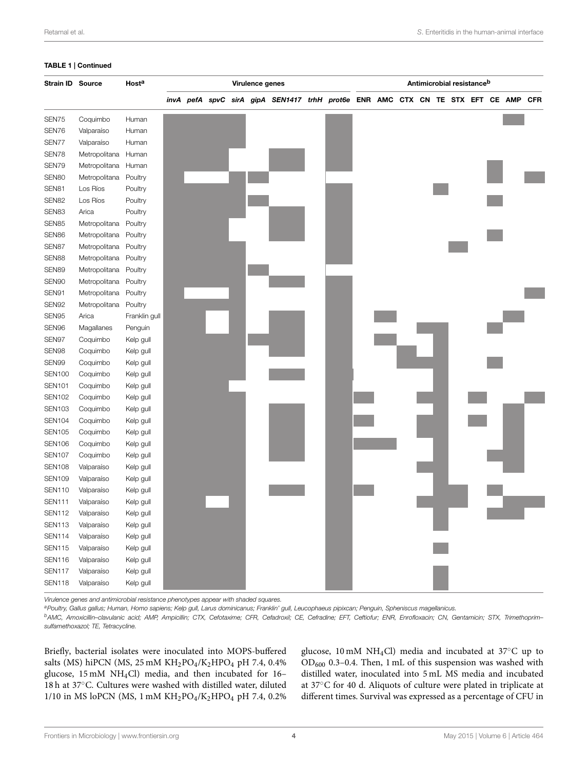#### <span id="page-3-0"></span>TABLE 1 | Continued

| Strain ID Source |                       | Host <sup>a</sup> | Virulence genes |  |  |  | Antimicrobial resistance <sup>b</sup>                                         |  |  |  |  |  |  |  |  |  |  |            |
|------------------|-----------------------|-------------------|-----------------|--|--|--|-------------------------------------------------------------------------------|--|--|--|--|--|--|--|--|--|--|------------|
|                  |                       |                   |                 |  |  |  | invA pefA spvC sirA gipA SEN1417 trhH prot6e ENR AMC CTX CN TE STX EFT CE AMP |  |  |  |  |  |  |  |  |  |  | <b>CFR</b> |
| SEN75            | Coquimbo              | Human             |                 |  |  |  |                                                                               |  |  |  |  |  |  |  |  |  |  |            |
| SEN76            | Valparaíso            | Human             |                 |  |  |  |                                                                               |  |  |  |  |  |  |  |  |  |  |            |
| SEN77            | Valparaíso            | Human             |                 |  |  |  |                                                                               |  |  |  |  |  |  |  |  |  |  |            |
| SEN78            | Metropolitana         | Human             |                 |  |  |  |                                                                               |  |  |  |  |  |  |  |  |  |  |            |
| SEN79            | Metropolitana         | Human             |                 |  |  |  |                                                                               |  |  |  |  |  |  |  |  |  |  |            |
| SEN80            | Metropolitana         | Poultry           |                 |  |  |  |                                                                               |  |  |  |  |  |  |  |  |  |  |            |
| SEN81            | Los Ríos              | Poultry           |                 |  |  |  |                                                                               |  |  |  |  |  |  |  |  |  |  |            |
| SEN82            | Los Ríos              | Poultry           |                 |  |  |  |                                                                               |  |  |  |  |  |  |  |  |  |  |            |
| SEN83            | Arica                 | Poultry           |                 |  |  |  |                                                                               |  |  |  |  |  |  |  |  |  |  |            |
| SEN85            | Metropolitana         | Poultry           |                 |  |  |  |                                                                               |  |  |  |  |  |  |  |  |  |  |            |
| SEN86            | Metropolitana         | Poultry           |                 |  |  |  |                                                                               |  |  |  |  |  |  |  |  |  |  |            |
| SEN87            | Metropolitana         | Poultry           |                 |  |  |  |                                                                               |  |  |  |  |  |  |  |  |  |  |            |
| SEN88            | Metropolitana         | Poultry           |                 |  |  |  |                                                                               |  |  |  |  |  |  |  |  |  |  |            |
| SEN89            | Metropolitana Poultry |                   |                 |  |  |  |                                                                               |  |  |  |  |  |  |  |  |  |  |            |
| SEN90            | Metropolitana         | Poultry           |                 |  |  |  |                                                                               |  |  |  |  |  |  |  |  |  |  |            |
| SEN91            | Metropolitana         | Poultry           |                 |  |  |  |                                                                               |  |  |  |  |  |  |  |  |  |  |            |
| SEN92            | Metropolitana         | Poultry           |                 |  |  |  |                                                                               |  |  |  |  |  |  |  |  |  |  |            |
| SEN95            | Arica                 | Franklin gull     |                 |  |  |  |                                                                               |  |  |  |  |  |  |  |  |  |  |            |
| SEN96            | Magallanes            | Penguin           |                 |  |  |  |                                                                               |  |  |  |  |  |  |  |  |  |  |            |
| SEN97            | Coquimbo              | Kelp gull         |                 |  |  |  |                                                                               |  |  |  |  |  |  |  |  |  |  |            |
| SEN98            | Coquimbo              | Kelp gull         |                 |  |  |  |                                                                               |  |  |  |  |  |  |  |  |  |  |            |
| SEN99            | Coquimbo              | Kelp gull         |                 |  |  |  |                                                                               |  |  |  |  |  |  |  |  |  |  |            |
| <b>SEN100</b>    | Coquimbo              | Kelp gull         |                 |  |  |  |                                                                               |  |  |  |  |  |  |  |  |  |  |            |
| <b>SEN101</b>    | Coquimbo              | Kelp gull         |                 |  |  |  |                                                                               |  |  |  |  |  |  |  |  |  |  |            |
| <b>SEN102</b>    | Coquimbo              | Kelp gull         |                 |  |  |  |                                                                               |  |  |  |  |  |  |  |  |  |  |            |
| <b>SEN103</b>    | Coquimbo              | Kelp gull         |                 |  |  |  |                                                                               |  |  |  |  |  |  |  |  |  |  |            |
| <b>SEN104</b>    | Coquimbo              | Kelp gull         |                 |  |  |  |                                                                               |  |  |  |  |  |  |  |  |  |  |            |
| <b>SEN105</b>    | Coquimbo              | Kelp gull         |                 |  |  |  |                                                                               |  |  |  |  |  |  |  |  |  |  |            |
| <b>SEN106</b>    | Coquimbo              | Kelp gull         |                 |  |  |  |                                                                               |  |  |  |  |  |  |  |  |  |  |            |
| <b>SEN107</b>    | Coquimbo              | Kelp gull         |                 |  |  |  |                                                                               |  |  |  |  |  |  |  |  |  |  |            |
| <b>SEN108</b>    | Valparaíso            | Kelp gull         |                 |  |  |  |                                                                               |  |  |  |  |  |  |  |  |  |  |            |
| <b>SEN109</b>    | Valparaíso            | Kelp gull         |                 |  |  |  |                                                                               |  |  |  |  |  |  |  |  |  |  |            |
| <b>SEN110</b>    | Valparaíso            | Kelp gull         |                 |  |  |  |                                                                               |  |  |  |  |  |  |  |  |  |  |            |
| <b>SEN111</b>    | Valparaíso            | Kelp gull         |                 |  |  |  |                                                                               |  |  |  |  |  |  |  |  |  |  |            |
| <b>SEN112</b>    | Valparaíso            | Kelp gull         |                 |  |  |  |                                                                               |  |  |  |  |  |  |  |  |  |  |            |
| <b>SEN113</b>    | Valparaíso            | Kelp gull         |                 |  |  |  |                                                                               |  |  |  |  |  |  |  |  |  |  |            |
| <b>SEN114</b>    | Valparaíso            | Kelp gull         |                 |  |  |  |                                                                               |  |  |  |  |  |  |  |  |  |  |            |
| <b>SEN115</b>    | Valparaíso            | Kelp gull         |                 |  |  |  |                                                                               |  |  |  |  |  |  |  |  |  |  |            |
| <b>SEN116</b>    | Valparaíso            | Kelp gull         |                 |  |  |  |                                                                               |  |  |  |  |  |  |  |  |  |  |            |
| <b>SEN117</b>    | Valparaíso            | Kelp gull         |                 |  |  |  |                                                                               |  |  |  |  |  |  |  |  |  |  |            |
| <b>SEN118</b>    | Valparaíso            | Kelp gull         |                 |  |  |  |                                                                               |  |  |  |  |  |  |  |  |  |  |            |

Virulence genes and antimicrobial resistance phenotypes appear with shaded squares.

a Poultry, Gallus gallus; Human, Homo sapiens; Kelp gull, Larus dominicanus; Franklin' gull, Leucophaeus pipixcan; Penguin, Spheniscus magellanicus.

bAMC, Amoxicillin-clavulanic acid; AMP, Ampicillin; CTX, Cefotaxime; CFR, Cefadroxil; CE, Cefradine; EFT, Ceftiofur; ENR, Enrofloxacin; CN, Gentamicin; STX, Trimethoprimsulfamethoxazol; TE, Tetracycline.

Briefly, bacterial isolates were inoculated into MOPS-buffered salts (MS) hiPCN (MS, 25 mM KH<sub>2</sub>PO<sub>4</sub>/K<sub>2</sub>HPO<sub>4</sub> pH 7.4, 0.4% glucose, 15 mM NH4Cl) media, and then incubated for 16– 18 h at 37◦C. Cultures were washed with distilled water, diluted 1/10 in MS loPCN (MS, 1 mM KH<sub>2</sub>PO<sub>4</sub>/K<sub>2</sub>HPO<sub>4</sub> pH 7.4, 0.2% glucose, 10 mM NH4Cl) media and incubated at 37◦C up to OD<sup>600</sup> 0.3–0.4. Then, 1 mL of this suspension was washed with distilled water, inoculated into 5 mL MS media and incubated at 37◦C for 40 d. Aliquots of culture were plated in triplicate at different times. Survival was expressed as a percentage of CFU in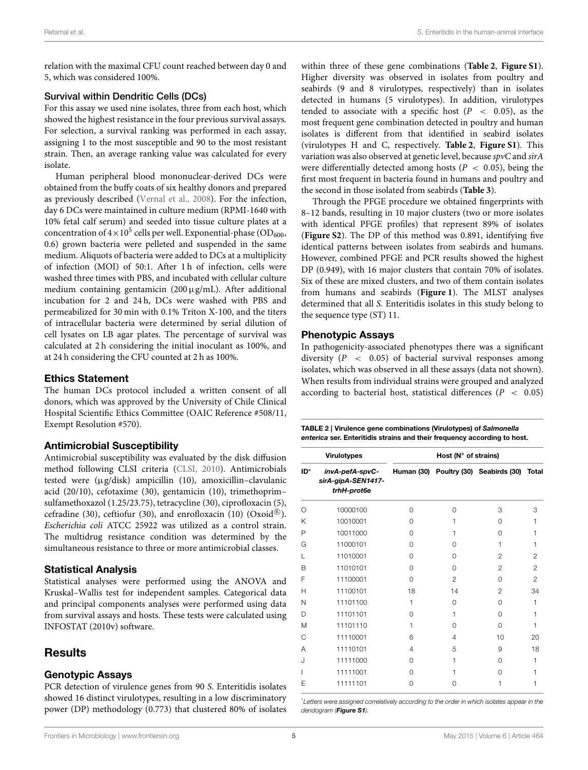relation with the maximal CFU count reached between day 0 and 5, which was considered 100%.

#### Survival within Dendritic Cells (DCs)

For this assay we used nine isolates, three from each host, which showed the highest resistance in the four previous survival assays. For selection, a survival ranking was performed in each assay, assigning 1 to the most susceptible and 90 to the most resistant strain. Then, an average ranking value was calculated for every isolate.

Human peripheral blood mononuclear-derived DCs were obtained from the buffy coats of six healthy donors and prepared as previously described [\(Vernal et al., 2008\)](#page-9-15). For the infection, day 6 DCs were maintained in culture medium (RPMI-1640 with 10% fetal calf serum) and seeded into tissue culture plates at a concentration of  $4\times10^5$  cells per well. Exponential-phase (OD<sub>600</sub>, 0.6) grown bacteria were pelleted and suspended in the same medium. Aliquots of bacteria were added to DCs at a multiplicity of infection (MOI) of 50:1. After 1 h of infection, cells were washed three times with PBS, and incubated with cellular culture medium containing gentamicin  $(200 \mu g/mL)$ . After additional incubation for 2 and 24 h, DCs were washed with PBS and permeabilized for 30 min with 0.1% Triton X-100, and the titers of intracellular bacteria were determined by serial dilution of cell lysates on LB agar plates. The percentage of survival was calculated at 2 h considering the initial inoculant as 100%, and at 24 h considering the CFU counted at 2 h as 100%.

#### Ethics Statement

The human DCs protocol included a written consent of all donors, which was approved by the University of Chile Clinical Hospital Scientific Ethics Committee (OAIC Reference #508/11, Exempt Resolution #570).

#### Antimicrobial Susceptibility

Antimicrobial susceptibility was evaluated by the disk diffusion method following CLSI criteria [\(CLSI, 2010\)](#page-8-8). Antimicrobials tested were (µg/disk) ampicillin (10), amoxicillin–clavulanic acid (20/10), cefotaxime (30), gentamicin (10), trimethoprim– sulfamethoxazol (1.25/23.75), tetracycline (30), ciprofloxacin (5), cefradine (30), ceftiofur (30), and enrofloxacin (10)  $(Oxoid^{\circledR}).$ Escherichia coli ATCC 25922 was utilized as a control strain. The multidrug resistance condition was determined by the simultaneous resistance to three or more antimicrobial classes.

#### Statistical Analysis

Statistical analyses were performed using the ANOVA and Kruskal–Wallis test for independent samples. Categorical data and principal components analyses were performed using data from survival assays and hosts. These tests were calculated using INFOSTAT (2010v) software.

# **Results**

#### Genotypic Assays

PCR detection of virulence genes from 90 S. Enteritidis isolates showed 16 distinct virulotypes, resulting in a low discriminatory power (DP) methodology (0.773) that clustered 80% of isolates within three of these gene combinations (**[Table 2](#page-3-0)**, **[Figure S1](#page-8-9)**). Higher diversity was observed in isolates from poultry and seabirds (9 and 8 virulotypes, respectively) than in isolates detected in humans (5 virulotypes). In addition, virulotypes tended to associate with a specific host  $(P < 0.05)$ , as the most frequent gene combination detected in poultry and human isolates is different from that identified in seabird isolates (virulotypes H and C, respectively. **[Table 2](#page-3-0)**, **[Figure S1](#page-8-9)**). This variation was also observed at genetic level, because spvC and sirA were differentially detected among hosts ( $P < 0.05$ ), being the first most frequent in bacteria found in humans and poultry and the second in those isolated from seabirds (**[Table 3](#page-4-0)**).

Through the PFGE procedure we obtained fingerprints with 8–12 bands, resulting in 10 major clusters (two or more isolates with identical PFGE profiles) that represent 89% of isolates (**[Figure S2](#page-8-10)**). The DP of this method was 0.891, identifying five identical patterns between isolates from seabirds and humans. However, combined PFGE and PCR results showed the highest DP (0.949), with 16 major clusters that contain 70% of isolates. Six of these are mixed clusters, and two of them contain isolates from humans and seabirds (**[Figure 1](#page-5-0)**). The MLST analyses determined that all S. Enteritidis isolates in this study belong to the sequence type (ST) 11.

#### Phenotypic Assays

In pathogenicity-associated phenotypes there was a significant diversity ( $P \sim 0.05$ ) of bacterial survival responses among isolates, which was observed in all these assays (data not shown). When results from individual strains were grouped and analyzed according to bacterial host, statistical differences ( $P < 0.05$ )

<span id="page-4-0"></span>TABLE 2 | Virulence gene combinations (Virulotypes) of Salmonella enterica ser. Enteritidis strains and their frequency according to host.

|          | <b>Virulotypes</b>                                   | Host ( $N^{\circ}$ of strains) |                |                                       |                |  |  |  |  |  |
|----------|------------------------------------------------------|--------------------------------|----------------|---------------------------------------|----------------|--|--|--|--|--|
| ID*      | invA-pefA-spvC-<br>sirA-gipA-SEN1417-<br>trhH-prot6e |                                |                | Human (30) Poultry (30) Seabirds (30) | <b>Total</b>   |  |  |  |  |  |
| $\Omega$ | 10000100                                             | $\Omega$                       | $\Omega$       | 3                                     | 3              |  |  |  |  |  |
| Κ        | 10010001                                             | $\Omega$                       | 1              | $\Omega$                              | 1              |  |  |  |  |  |
| P        | 10011000                                             | $\Omega$                       | 1              | $\Omega$                              | 1              |  |  |  |  |  |
| G        | 11000101                                             | $\Omega$                       | $\Omega$       | 1                                     | 1              |  |  |  |  |  |
|          | 11010001                                             | $\Omega$                       | $\Omega$       | $\mathfrak{p}$                        | 2              |  |  |  |  |  |
| B        | 11010101                                             | $\Omega$                       | O              | $\overline{2}$                        | $\overline{2}$ |  |  |  |  |  |
| F        | 11100001                                             | $\Omega$                       | $\mathfrak{p}$ | $\Omega$                              | $\overline{2}$ |  |  |  |  |  |
| Н        | 11100101                                             | 18                             | 14             | $\mathfrak{p}$                        | 34             |  |  |  |  |  |
| N        | 11101100                                             | 1                              | $\Omega$       | $\Omega$                              | 1              |  |  |  |  |  |
| D        | 11101101                                             | $\Omega$                       | 1              | $\Omega$                              | 1              |  |  |  |  |  |
| M        | 11101110                                             | 1                              | O              | $\Omega$                              | 1              |  |  |  |  |  |
| C        | 11110001                                             | 6                              | 4              | 10                                    | 20             |  |  |  |  |  |
| A        | 11110101                                             | $\overline{4}$                 | 5              | 9                                     | 18             |  |  |  |  |  |
| J.       | 11111000                                             | $\Omega$                       | 1              | $\Omega$                              | 1              |  |  |  |  |  |
|          | 11111001                                             | $\Omega$                       | 1              | $\Omega$                              | 1              |  |  |  |  |  |
| F        | 11111101                                             | $\Omega$                       | Ω              | 1                                     | 1              |  |  |  |  |  |

\*Letters were assigned correlatively according to the order in which isolates appear in the dendogram ([Figure S1](#page-8-9)).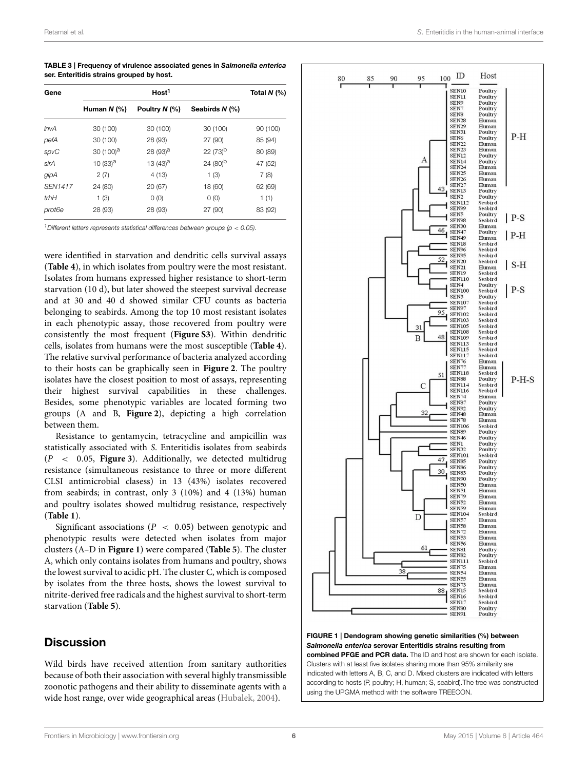<span id="page-5-1"></span>TABLE 3 | Frequency of virulence associated genes in Salmonella enterica ser. Enteritidis strains grouped by host.

| Gene           |                       | Total $N$ (%)        |                       |          |
|----------------|-----------------------|----------------------|-----------------------|----------|
|                | Human N (%)           | Poultry N (%)        | Seabirds $N$ (%)      |          |
| <i>invA</i>    | 30 (100)              | 30 (100)             | 30 (100)              | 90 (100) |
| pefA           | 30 (100)              | 28 (93)              | 27 (90)               | 85 (94)  |
| spvC           | 30 (100) <sup>a</sup> | $28(93)^a$           | $22(73)^{b}$          | 80 (89)  |
| sirA           | 10 (33) <sup>a</sup>  | 13 (43) <sup>a</sup> | $24(80)$ <sup>b</sup> | 47 (52)  |
| gipA           | 2(7)                  | 4(13)                | 1(3)                  | 7(8)     |
| <b>SEN1417</b> | 24 (80)               | 20 (67)              | 18 (60)               | 62 (69)  |
| trhH           | 1(3)                  | 0(0)                 | 0(0)                  | 1(1)     |
| prot6e         | 28 (93)               | 28 (93)              | 27 (90)               | 83 (92)  |

<sup>1</sup> Different letters represents statistical differences between groups ( $p < 0.05$ ).

were identified in starvation and dendritic cells survival assays (**[Table 4](#page-5-1)**), in which isolates from poultry were the most resistant. Isolates from humans expressed higher resistance to short-term starvation (10 d), but later showed the steepest survival decrease and at 30 and 40 d showed similar CFU counts as bacteria belonging to seabirds. Among the top 10 most resistant isolates in each phenotypic assay, those recovered from poultry were consistently the most frequent (**[Figure S3](#page-8-11)**). Within dendritic cells, isolates from humans were the most susceptible (**[Table 4](#page-5-1)**). The relative survival performance of bacteria analyzed according to their hosts can be graphically seen in **[Figure 2](#page-6-0)**. The poultry isolates have the closest position to most of assays, representing their highest survival capabilities in these challenges. Besides, some phenotypic variables are located forming two groups (A and B, **[Figure 2](#page-6-0)**), depicting a high correlation between them.

Resistance to gentamycin, tetracycline and ampicillin was statistically associated with S. Enteritidis isolates from seabirds (P < 0.05, **[Figure 3](#page-6-1)**). Additionally, we detected multidrug resistance (simultaneous resistance to three or more different CLSI antimicrobial clasess) in 13 (43%) isolates recovered from seabirds; in contrast, only 3 (10%) and 4 (13%) human and poultry isolates showed multidrug resistance, respectively (**[Table 1](#page-2-0)**).

Significant associations ( $P < 0.05$ ) between genotypic and phenotypic results were detected when isolates from major clusters (A–D in **[Figure 1](#page-5-0)**) were compared (**[Table 5](#page-6-2)**). The cluster A, which only contains isolates from humans and poultry, shows the lowest survival to acidic pH. The cluster C, which is composed by isolates from the three hosts, shows the lowest survival to nitrite-derived free radicals and the highest survival to short-term starvation (**[Table 5](#page-6-2)**).

## **Discussion**

Wild birds have received attention from sanitary authorities because of both their association with several highly transmissible zoonotic pathogens and their ability to disseminate agents with a wide host range, over wide geographical areas [\(Hubalek, 2004\)](#page-9-16).



<span id="page-5-0"></span>FIGURE 1 | Dendogram showing genetic similarities (%) between Salmonella enterica serovar Enteritidis strains resulting from combined PFGE and PCR data. The ID and host are shown for each isolate. Clusters with at least five isolates sharing more than 95% similarity are indicated with letters A, B, C, and D. Mixed clusters are indicated with letters according to hosts (P, poultry; H, human; S, seabird).The tree was constructed using the UPGMA method with the software TREECON.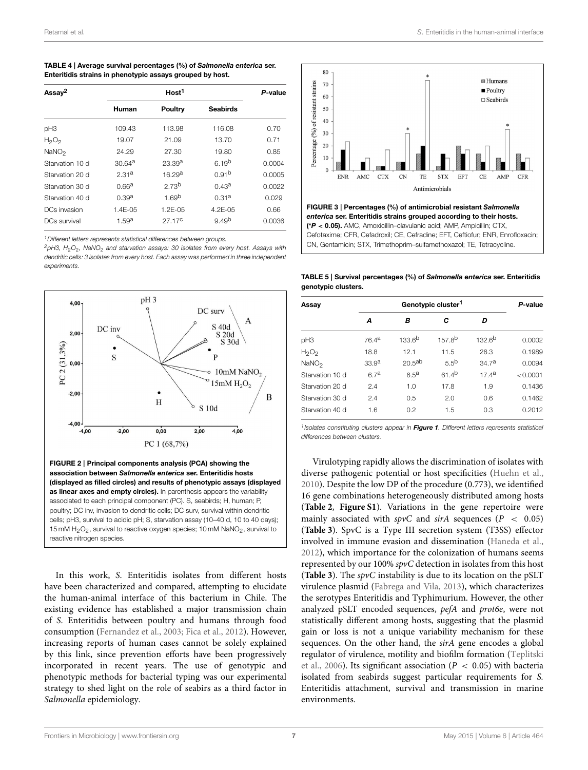<span id="page-6-2"></span>

| TABLE 4   Average survival percentages (%) of Salmonella enterica ser. |
|------------------------------------------------------------------------|
| Enteritidis strains in phenotypic assays grouped by host.              |

| Assay <sup>2</sup> |                    | P-value            |                   |        |
|--------------------|--------------------|--------------------|-------------------|--------|
|                    | Human              | Poultry            | Seabirds          |        |
| pH <sub>3</sub>    | 109.43             | 113.98             | 116.08            | 0.70   |
| $H_2O_2$           | 19.07              | 21.09              | 13.70             | 0.71   |
| NaNO <sub>2</sub>  | 24.29              | 27.30              | 19.80             | 0.85   |
| Starvation 10 d    | 30.64 <sup>a</sup> | 23.39 <sup>a</sup> | $6,19^{b}$        | 0.0004 |
| Starvation 20 d    | 2.31a              | 16.29 <sup>a</sup> | 0.91 <sup>b</sup> | 0.0005 |
| Starvation 30 d    | 0.66 <sup>a</sup>  | 2.73 <sup>b</sup>  | 0.43a             | 0.0022 |
| Starvation 40 d    | 0.39 <sup>a</sup>  | 1.69 <sup>b</sup>  | 0.31 <sup>a</sup> | 0.029  |
| DCs invasion       | $1.4E - 0.5$       | 1.2E-05            | $4.2F - 0.5$      | 0.66   |
| DCs survival       | 1.59a              | 27 17 <sup>C</sup> | 9.49 <sup>b</sup> | 0.0036 |

<sup>1</sup> Different letters represents statistical differences between groups.

 $2$ pH3, H<sub>2</sub>O<sub>2</sub>, NaNO<sub>2</sub> and starvation assays: 30 isolates from every host. Assays with dendritic cells: 3 isolates from every host. Each assay was performed in three independent experiments.



<span id="page-6-0"></span>FIGURE 2 | Principal components analysis (PCA) showing the association between Salmonella enterica ser. Enteritidis hosts (displayed as filled circles) and results of phenotypic assays (displayed as linear axes and empty circles). In parenthesis appears the variability associated to each principal component (PC). S, seabirds; H, human; P, poultry; DC inv, invasion to dendritic cells; DC surv, survival within dendritic cells; pH3, survival to acidic pH; S, starvation assay (10–40 d, 10 to 40 days); 15 mM  $H_2O_2$ , survival to reactive oxygen species; 10 mM  $NaNO_2$ , survival to reactive nitrogen species.

In this work, S. Enteritidis isolates from different hosts have been characterized and compared, attempting to elucidate the human-animal interface of this bacterium in Chile. The existing evidence has established a major transmission chain of S. Enteritidis between poultry and humans through food consumption [\(Fernandez et al., 2003;](#page-8-1) [Fica et al., 2012\)](#page-8-2). However, increasing reports of human cases cannot be solely explained by this link, since prevention efforts have been progressively incorporated in recent years. The use of genotypic and phenotypic methods for bacterial typing was our experimental strategy to shed light on the role of seabirs as a third factor in Salmonella epidemiology.



<span id="page-6-1"></span>FIGURE 3 | Percentages (%) of antimicrobial resistant Salmonella enterica ser. Enteritidis strains grouped according to their hosts. (\*P < 0.05). AMC, Amoxicillin–clavulanic acid; AMP, Ampicillin; CTX, Cefotaxime; CFR, Cefadroxil; CE, Cefradine; EFT, Ceftiofur; ENR, Enrofloxacin; CN, Gentamicin; STX, Trimethoprim–sulfamethoxazol; TE, Tetracycline.

TABLE 5 | Survival percentages (%) of Salmonella enterica ser. Enteritidis genotypic clusters.

| Assay             |                   | P-value          |                    |                   |          |
|-------------------|-------------------|------------------|--------------------|-------------------|----------|
|                   | A                 | В                | C                  | D                 |          |
| pH <sub>3</sub>   | 76.4 <sup>a</sup> | $133.6^{b}$      | 157.8 <sup>b</sup> | $132.6^{b}$       | 0.0002   |
| $H_2O_2$          | 18.8              | 12.1             | 11.5               | 26.3              | 0.1989   |
| NaNO <sub>2</sub> | 33.9 <sup>a</sup> | $20.5^{ab}$      | $5.5^{b}$          | 34.7 <sup>a</sup> | 0.0094   |
| Starvation 10 d   | 67a               | 6.5 <sup>a</sup> | $614^{b}$          | 17.4a             | < 0.0001 |
| Starvation 20 d   | 2.4               | 1.0              | 17.8               | 1.9               | 0.1436   |
| Starvation 30 d   | 2.4               | 0.5              | 2.0                | 0.6               | 0.1462   |
| Starvation 40 d   | 1.6               | 0.2              | 1.5                | 0.3               | 0.2012   |

<sup>1</sup> Isolates constituting clusters appear in [Figure 1](#page-5-0). Different letters represents statistica. differences between clusters.

Virulotyping rapidly allows the discrimination of isolates with diverse pathogenic potential or host specificities [\(Huehn et al.,](#page-9-8) [2010\)](#page-9-8). Despite the low DP of the procedure (0.773), we identified 16 gene combinations heterogeneously distributed among hosts (**[Table 2](#page-3-0)**, **[Figure S1](#page-8-9)**). Variations in the gene repertoire were mainly associated with  $sp\nu C$  and  $s\nu A$  sequences ( $P < 0.05$ ) (**[Table 3](#page-4-0)**). SpvC is a Type III secretion system (T3SS) effector involved in immune evasion and dissemination [\(Haneda et al.,](#page-8-12) [2012\)](#page-8-12), which importance for the colonization of humans seems represented by our 100% spvC detection in isolates from this host (**[Table 3](#page-4-0)**). The spvC instability is due to its location on the pSLT virulence plasmid [\(Fabrega and Vila, 2013\)](#page-8-13), which characterizes the serotypes Enteritidis and Typhimurium. However, the other analyzed pSLT encoded sequences, pefA and prot6e, were not statistically different among hosts, suggesting that the plasmid gain or loss is not a unique variability mechanism for these sequences. On the other hand, the sirA gene encodes a global regulator of virulence, motility and biofilm formation (Teplitski et al., [2006\)](#page-9-17). Its significant association ( $P < 0.05$ ) with bacteria isolated from seabirds suggest particular requirements for S. Enteritidis attachment, survival and transmission in marine environments.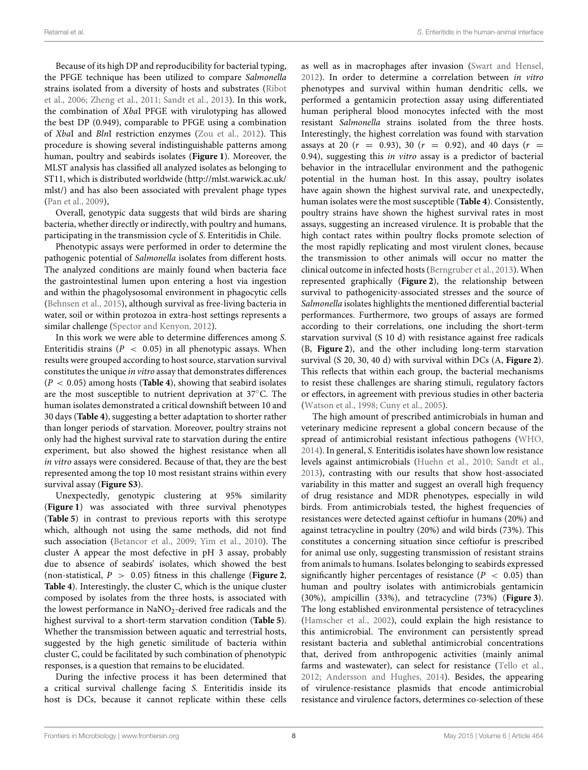Because of its high DP and reproducibility for bacterial typing, the PFGE technique has been utilized to compare Salmonella strains isolated from a diversity of hosts and substrates (Ribot et al., [2006;](#page-9-10) [Zheng et al., 2011;](#page-9-18) [Sandt et al., 2013\)](#page-9-19). In this work, the combination of XbaI PFGE with virulotyping has allowed the best DP (0.949), comparable to PFGE using a combination of XbaI and BlnI restriction enzymes [\(Zou et al., 2012\)](#page-9-20). This procedure is showing several indistinguishable patterns among human, poultry and seabirds isolates (**[Figure 1](#page-5-0)**). Moreover, the MLST analysis has classified all analyzed isolates as belonging to ST11, which is distributed worldwide [\(http://mlst.warwick.ac.uk/](http://mlst.warwick.ac.uk/mlst/) [mlst/\)](http://mlst.warwick.ac.uk/mlst/) and has also been associated with prevalent phage types [\(Pan et al., 2009\)](#page-9-7),

Overall, genotypic data suggests that wild birds are sharing bacteria, whether directly or indirectly, with poultry and humans, participating in the transmission cycle of S. Enteritidis in Chile.

Phenotypic assays were performed in order to determine the pathogenic potential of Salmonella isolates from different hosts. The analyzed conditions are mainly found when bacteria face the gastrointestinal lumen upon entering a host via ingestion and within the phagolysosomal environment in phagocytic cells [\(Behnsen et al., 2015\)](#page-8-14), although survival as free-living bacteria in water, soil or within protozoa in extra-host settings represents a similar challenge [\(Spector and Kenyon, 2012\)](#page-9-21).

In this work we were able to determine differences among S. Enteritidis strains ( $P < 0.05$ ) in all phenotypic assays. When results were grouped according to host source, starvation survival constitutes the unique in vitro assay that demonstrates differences (P < 0.05) among hosts (**[Table 4](#page-5-1)**), showing that seabird isolates are the most susceptible to nutrient deprivation at 37◦C. The human isolates demonstrated a critical downshift between 10 and 30 days (**[Table 4](#page-5-1)**), suggesting a better adaptation to shorter rather than longer periods of starvation. Moreover, poultry strains not only had the highest survival rate to starvation during the entire experiment, but also showed the highest resistance when all in vitro assays were considered. Because of that, they are the best represented among the top 10 most resistant strains within every survival assay (**[Figure S3](#page-8-11)**).

Unexpectedly, genotypic clustering at 95% similarity (**[Figure 1](#page-5-0)**) was associated with three survival phenotypes (**[Table 5](#page-6-2)**) in contrast to previous reports with this serotype which, although not using the same methods, did not find such association [\(Betancor et al., 2009;](#page-8-15) [Yim et al., 2010\)](#page-9-9). The cluster A appear the most defective in pH 3 assay, probably due to absence of seabirds' isolates, which showed the best (non-statistical,  $P > 0.05$ ) fitness in this challenge (**[Figure 2](#page-6-0)**, **[Table 4](#page-5-1)**). Interestingly, the cluster C, which is the unique cluster composed by isolates from the three hosts, is associated with the lowest performance in NaNO<sub>2</sub>-derived free radicals and the highest survival to a short-term starvation condition (**[Table 5](#page-6-2)**). Whether the transmission between aquatic and terrestrial hosts, suggested by the high genetic similitude of bacteria within cluster C, could be facilitated by such combination of phenotypic responses, is a question that remains to be elucidated.

During the infective process it has been determined that a critical survival challenge facing S. Enteritidis inside its host is DCs, because it cannot replicate within these cells as well as in macrophages after invasion [\(Swart and Hensel,](#page-9-22) [2012\)](#page-9-22). In order to determine a correlation between in vitro phenotypes and survival within human dendritic cells, we performed a gentamicin protection assay using differentiated human peripheral blood monocytes infected with the most resistant Salmonella strains isolated from the three hosts. Interestingly, the highest correlation was found with starvation assays at 20 ( $r = 0.93$ ), 30 ( $r = 0.92$ ), and 40 days ( $r =$ 0.94), suggesting this in vitro assay is a predictor of bacterial behavior in the intracellular environment and the pathogenic potential in the human host. In this assay, poultry isolates have again shown the highest survival rate, and unexpectedly, human isolates were the most susceptible (**[Table 4](#page-5-1)**). Consistently, poultry strains have shown the highest survival rates in most assays, suggesting an increased virulence. It is probable that the high contact rates within poultry flocks promote selection of the most rapidly replicating and most virulent clones, because the transmission to other animals will occur no matter the clinical outcome in infected hosts [\(Berngruber et al., 2013\)](#page-8-16). When represented graphically (**[Figure 2](#page-6-0)**), the relationship between survival to pathogenicity-associated stresses and the source of Salmonella isolates highlights the mentioned differential bacterial performances. Furthermore, two groups of assays are formed according to their correlations, one including the short-term starvation survival (S 10 d) with resistance against free radicals (B, **[Figure 2](#page-6-0)**), and the other including long-term starvation survival (S 20, 30, 40 d) with survival within DCs (A, **[Figure 2](#page-6-0)**). This reflects that within each group, the bacterial mechanisms to resist these challenges are sharing stimuli, regulatory factors or effectors, in agreement with previous studies in other bacteria [\(Watson et al., 1998;](#page-9-23) [Cuny et al., 2005\)](#page-8-17).

The high amount of prescribed antimicrobials in human and veterinary medicine represent a global concern because of the spread of antimicrobial resistant infectious pathogens [\(WHO,](#page-9-24) [2014\)](#page-9-24). In general, S. Enteritidis isolates have shown low resistance levels against antimicrobials [\(Huehn et al., 2010;](#page-9-8) [Sandt et al.,](#page-9-19) [2013\)](#page-9-19), contrasting with our results that show host-associated variability in this matter and suggest an overall high frequency of drug resistance and MDR phenotypes, especially in wild birds. From antimicrobials tested, the highest frequencies of resistances were detected against ceftiofur in humans (20%) and against tetracycline in poultry (20%) and wild birds (73%). This constitutes a concerning situation since ceftiofur is prescribed for animal use only, suggesting transmission of resistant strains from animals to humans. Isolates belonging to seabirds expressed significantly higher percentages of resistance ( $P < 0.05$ ) than human and poultry isolates with antimicrobials gentamicin (30%), ampicillin (33%), and tetracycline (73%) (**[Figure 3](#page-6-1)**). The long established environmental persistence of tetracyclines [\(Hamscher et al., 2002\)](#page-8-18), could explain the high resistance to this antimicrobial. The environment can persistently spread resistant bacteria and sublethal antimicrobial concentrations that, derived from anthropogenic activities (mainly animal farms and wastewater), can select for resistance [\(Tello et al.,](#page-9-25) [2012;](#page-9-25) [Andersson and Hughes, 2014\)](#page-8-19). Besides, the appearing of virulence-resistance plasmids that encode antimicrobial resistance and virulence factors, determines co-selection of these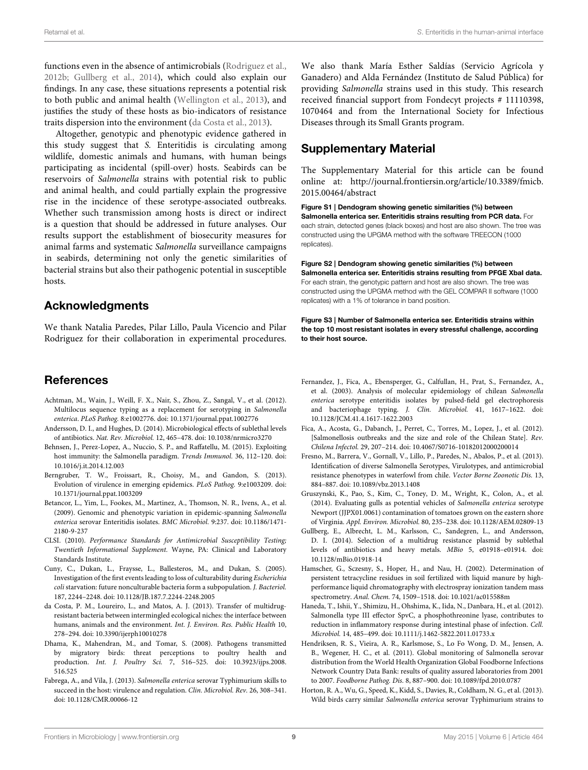functions even in the absence of antimicrobials [\(Rodriguez et al.,](#page-9-26) [2012b;](#page-9-26) [Gullberg et al., 2014\)](#page-8-20), which could also explain our findings. In any case, these situations represents a potential risk to both public and animal health [\(Wellington et al., 2013\)](#page-9-27), and justifies the study of these hosts as bio-indicators of resistance traits dispersion into the environment [\(da Costa et al., 2013\)](#page-8-21).

Altogether, genotypic and phenotypic evidence gathered in this study suggest that S. Enteritidis is circulating among wildlife, domestic animals and humans, with human beings participating as incidental (spill-over) hosts. Seabirds can be reservoirs of Salmonella strains with potential risk to public and animal health, and could partially explain the progressive rise in the incidence of these serotype-associated outbreaks. Whether such transmission among hosts is direct or indirect is a question that should be addressed in future analyses. Our results support the establishment of biosecurity measures for animal farms and systematic Salmonella surveillance campaigns in seabirds, determining not only the genetic similarities of bacterial strains but also their pathogenic potential in susceptible hosts.

## Acknowledgments

We thank Natalia Paredes, Pilar Lillo, Paula Vicencio and Pilar Rodriguez for their collaboration in experimental procedures.

## References

- <span id="page-8-7"></span>Achtman, M., Wain, J., Weill, F. X., Nair, S., Zhou, Z., Sangal, V., et al. (2012). Multilocus sequence typing as a replacement for serotyping in Salmonella enterica. PLoS Pathog. 8:e1002776. doi: 10.1371/journal.ppat.1002776
- <span id="page-8-19"></span>Andersson, D. I., and Hughes, D. (2014). Microbiological effects of sublethal levels of antibiotics. Nat. Rev. Microbiol. 12, 465–478. doi: 10.1038/nrmicro3270
- <span id="page-8-14"></span>Behnsen, J., Perez-Lopez, A., Nuccio, S. P., and Raffatellu, M. (2015). Exploiting host immunity: the Salmonella paradigm. Trends Immunol. 36, 112–120. doi: 10.1016/j.it.2014.12.003
- <span id="page-8-16"></span>Berngruber, T. W., Froissart, R., Choisy, M., and Gandon, S. (2013). Evolution of virulence in emerging epidemics. PLoS Pathog. 9:e1003209. doi: 10.1371/journal.ppat.1003209
- <span id="page-8-15"></span>Betancor, L., Yim, L., Fookes, M., Martinez, A., Thomson, N. R., Ivens, A., et al. (2009). Genomic and phenotypic variation in epidemic-spanning Salmonella enterica serovar Enteritidis isolates. BMC Microbiol. 9:237. doi: 10.1186/1471- 2180-9-237
- <span id="page-8-8"></span>CLSI. (2010). Performance Standards for Antimicrobial Susceptibility Testing; Twentieth Informational Supplement. Wayne, PA: Clinical and Laboratory Standards Institute.
- <span id="page-8-17"></span>Cuny, C., Dukan, L., Fraysse, L., Ballesteros, M., and Dukan, S. (2005). Investigation of the first events leading to loss of culturability during Escherichia coli starvation: future nonculturable bacteria form a subpopulation. J. Bacteriol. 187, 2244–2248. doi: 10.1128/JB.187.7.2244-2248.2005
- <span id="page-8-21"></span>da Costa, P. M., Loureiro, L., and Matos, A. J. (2013). Transfer of multidrugresistant bacteria between intermingled ecological niches: the interface between humans, animals and the environment. Int. J. Environ. Res. Public Health 10, 278–294. doi: 10.3390/ijerph10010278
- <span id="page-8-3"></span>Dhama, K., Mahendran, M., and Tomar, S. (2008). Pathogens transmitted by migratory birds: threat perceptions to poultry health and production. Int. J. Poultry Sci. 7, 516–525. doi: 10.3923/ijps.2008. 516.525
- <span id="page-8-13"></span>Fabrega, A., and Vila, J. (2013). Salmonella enterica serovar Typhimurium skills to succeed in the host: virulence and regulation. Clin. Microbiol. Rev. 26, 308–341. doi: 10.1128/CMR.00066-12

We also thank María Esther Saldías (Servicio Agrícola y Ganadero) and Alda Fernández (Instituto de Salud Pública) for providing Salmonella strains used in this study. This research received financial support from Fondecyt projects # 11110398, 1070464 and from the International Society for Infectious Diseases through its Small Grants program.

# Supplementary Material

The Supplementary Material for this article can be found online at: [http://journal.frontiersin.org/article/10.3389/fmicb.](http://journal.frontiersin.org/article/10.3389/fmicb.2015.00464/abstract) [2015.00464/abstract](http://journal.frontiersin.org/article/10.3389/fmicb.2015.00464/abstract)

<span id="page-8-9"></span>Figure S1 | Dendogram showing genetic similarities (%) between Salmonella enterica ser. Enteritidis strains resulting from PCR data. For each strain, detected genes (black boxes) and host are also shown. The tree was constructed using the UPGMA method with the software TREECON (1000 replicates).

<span id="page-8-10"></span>Figure S2 | Dendogram showing genetic similarities (%) between Salmonella enterica ser. Enteritidis strains resulting from PFGE XbaI data. For each strain, the genotypic pattern and host are also shown. The tree was constructed using the UPGMA method with the GEL COMPAR II software (1000 replicates) with a 1% of tolerance in band position.

<span id="page-8-11"></span>Figure S3 | Number of Salmonella enterica ser. Enteritidis strains within the top 10 most resistant isolates in every stressful challenge, according to their host source.

- <span id="page-8-1"></span>Fernandez, J., Fica, A., Ebensperger, G., Calfullan, H., Prat, S., Fernandez, A., et al. (2003). Analysis of molecular epidemiology of chilean Salmonella enterica serotype enteritidis isolates by pulsed-field gel electrophoresis and bacteriophage typing. J. Clin. Microbiol. 41, 1617–1622. doi: 10.1128/JCM.41.4.1617-1622.2003
- <span id="page-8-2"></span>Fica, A., Acosta, G., Dabanch, J., Perret, C., Torres, M., Lopez, J., et al. (2012). [Salmonellosis outbreaks and the size and role of the Chilean State]. Rev. Chilena Infectol. 29, 207–214. doi: 10.4067/S0716-10182012000200014
- <span id="page-8-6"></span>Fresno, M., Barrera, V., Gornall, V., Lillo, P., Paredes, N., Abalos, P., et al. (2013). Identification of diverse Salmonella Serotypes, Virulotypes, and antimicrobial resistance phenotypes in waterfowl from chile. Vector Borne Zoonotic Dis. 13, 884–887. doi: 10.1089/vbz.2013.1408
- <span id="page-8-5"></span>Gruszynski, K., Pao, S., Kim, C., Toney, D. M., Wright, K., Colon, A., et al. (2014). Evaluating gulls as potential vehicles of Salmonella enterica serotype Newport (JJPX01.0061) contamination of tomatoes grown on the eastern shore of Virginia. Appl. Environ. Microbiol. 80, 235–238. doi: 10.1128/AEM.02809-13
- <span id="page-8-20"></span>Gullberg, E., Albrecht, L. M., Karlsson, C., Sandegren, L., and Andersson, D. I. (2014). Selection of a multidrug resistance plasmid by sublethal levels of antibiotics and heavy metals. MBio 5, e01918–e01914. doi: 10.1128/mBio.01918-14
- <span id="page-8-18"></span>Hamscher, G., Sczesny, S., Hoper, H., and Nau, H. (2002). Determination of persistent tetracycline residues in soil fertilized with liquid manure by highperformance liquid chromatography with electrospray ionization tandem mass spectrometry. Anal. Chem. 74, 1509–1518. doi: 10.1021/ac015588m
- <span id="page-8-12"></span>Haneda, T., Ishii, Y., Shimizu, H., Ohshima, K., Iida, N., Danbara, H., et al. (2012). Salmonella type III effector SpvC, a phosphothreonine lyase, contributes to reduction in inflammatory response during intestinal phase of infection. Cell. Microbiol. 14, 485–499. doi: 10.1111/j.1462-5822.2011.01733.x
- <span id="page-8-0"></span>Hendriksen, R. S., Vieira, A. R., Karlsmose, S., Lo Fo Wong, D. M., Jensen, A. B., Wegener, H. C., et al. (2011). Global monitoring of Salmonella serovar distribution from the World Health Organization Global Foodborne Infections Network Country Data Bank: results of quality assured laboratories from 2001 to 2007. Foodborne Pathog. Dis. 8, 887–900. doi: 10.1089/fpd.2010.0787
- <span id="page-8-4"></span>Horton, R. A., Wu, G., Speed, K., Kidd, S., Davies, R., Coldham, N. G., et al. (2013). Wild birds carry similar Salmonella enterica serovar Typhimurium strains to